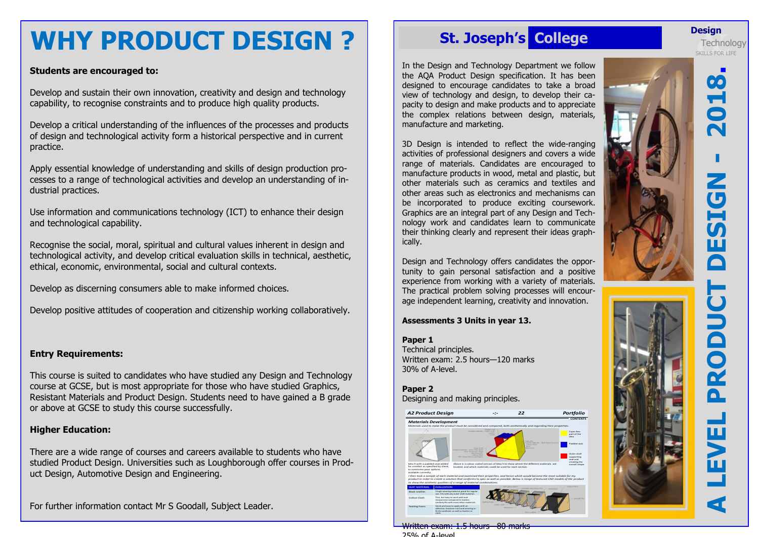# **WHY PRODUCT DESIGN ?**

### **Students are encouraged to:**

Develop and sustain their own innovation, creativity and design and technology capability, to recognise constraints and to produce high quality products.

Develop a critical understanding of the influences of the processes and products of design and technological activity form a historical perspective and in current practice.

Apply essential knowledge of understanding and skills of design production processes to a range of technological activities and develop an understanding of industrial practices.

Use information and communications technology (ICT) to enhance their design and technological capability.

Recognise the social, moral, spiritual and cultural values inherent in design and technological activity, and develop critical evaluation skills in technical, aesthetic, ethical, economic, environmental, social and cultural contexts.

Develop as discerning consumers able to make informed choices.

Develop positive attitudes of cooperation and citizenship working collaboratively.

### **Entry Requirements:**

This course is suited to candidates who have studied any Design and Technology course at GCSE, but is most appropriate for those who have studied Graphics, Resistant Materials and Product Design. Students need to have gained a B grade or above at GCSE to study this course successfully.

### **Higher Education:**

There are a wide range of courses and careers available to students who have studied Product Design. Universities such as Loughborough offer courses in Product Design, Automotive Design and Engineering.

For further information contact Mr S Goodall, Subject Leader.

## **St. Joseph's College**

In the Design and Technology Department we follow the AQA Product Design specification. It has been designed to encourage candidates to take a broad view of technology and design, to develop their capacity to design and make products and to appreciate the complex relations between design, materials, manufacture and marketing.

3D Design is intended to reflect the wide -ranging activities of professional designers and covers a wide range of materials. Candidates are encouraged to manufacture products in wood, metal and plastic, but other materials such as ceramics and textiles and other areas such as electronics and mechanisms can be incorporated to produce exciting coursework. Graphics are an integral part of any Design and Technology work and candidates learn to communicate their thinking clearly and represent their ideas graphically.

Design and Technology offers candidates the opportunity to gain personal satisfaction and a positive experience from working with a variety of materials. The practical problem solving processes will encourage independent learning, creativity and innovation.

### **Assessments 3 Units in year 13.**

### **Paper 1**

Technical principles. Written exam: 2.5 hours —120 marks 30% of A -level.

**Paper 2** Designing and making principles.



Written exam: 1.5 hours —80 marks 25% of A -level

### **Design**

**Jesign**<br>Technolo<br>SKILLS FOR LIFE **Technology** 

60

 $\overline{\mathbf{G}}$ 

 $\boldsymbol{J}$